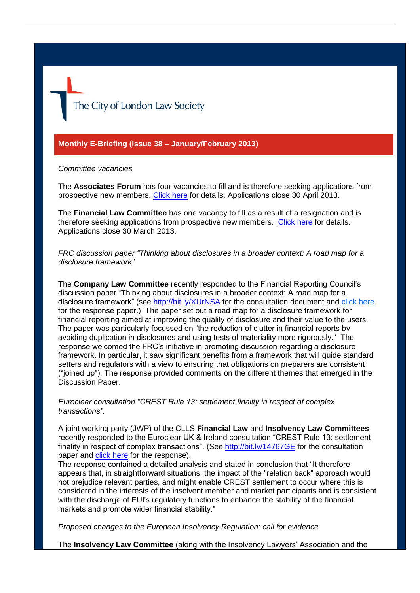The City of London Law Society

# **Monthly E-Briefing (Issue 38 – January/February 2013)**

### *Committee vacancies*

The **Associates Forum** has four vacancies to fill and is therefore seeking applications from prospective new members. [Click here](http://www.citysolicitors.org.uk/Default.aspx?sID=983&lID=0) for details. Applications close 30 April 2013.

The **Financial Law Committee** has one vacancy to fill as a result of a resignation and is therefore seeking applications from prospective new members. [Click here](http://www.citysolicitors.org.uk/FileServer.aspx?oID=1342&lID=0) for details. Applications close 30 March 2013.

*FRC discussion paper "Thinking about disclosures in a broader context: A road map for a disclosure framework"*

The **Company Law Committee** recently responded to the Financial Reporting Council's discussion paper "Thinking about disclosures in a broader context: A road map for a disclosure framework" (see <http://bit.ly/XUrNSA> for the consultation document and [click here](http://www.citysolicitors.org.uk/FileServer.aspx?oID=1335&lID=0) for the response paper.) The paper set out a road map for a disclosure framework for financial reporting aimed at improving the quality of disclosure and their value to the users. The paper was particularly focussed on "the reduction of clutter in financial reports by avoiding duplication in disclosures and using tests of materiality more rigorously." The response welcomed the FRC's initiative in promoting discussion regarding a disclosure framework. In particular, it saw significant benefits from a framework that will guide standard setters and regulators with a view to ensuring that obligations on preparers are consistent ("joined up"). The response provided comments on the different themes that emerged in the Discussion Paper.

*Euroclear consultation "CREST Rule 13: settlement finality in respect of complex transactions".*

[A joint working party \(JWP\) of the CLLS](http://www.citysolicitors.org.uk/FileServer.aspx?oID=1331&lID=0) **Financial Law** and **Insolvency Law Committees** [recently responded to the Euroclear UK & Ireland consultation "CREST Rule 13: settlement](http://www.citysolicitors.org.uk/FileServer.aspx?oID=1331&lID=0)  [finality in respect of complex transactions".](http://www.citysolicitors.org.uk/FileServer.aspx?oID=1331&lID=0) (See<http://bit.ly/14767GE> for the consultation paper and [click here](http://www.citysolicitors.org.uk/FileServer.aspx?oID=1331&lID=0) for the response).

The response contained a detailed analysis and stated in conclusion that "It therefore appears that, in straightforward situations, the impact of the "relation back" approach would not prejudice relevant parties, and might enable CREST settlement to occur where this is considered in the interests of the insolvent member and market participants and is consistent with the discharge of EUI's regulatory functions to enhance the stability of the financial markets and promote wider financial stability."

### *Proposed changes to the European Insolvency Regulation: call for evidence*

The **Insolvency Law Committee** (along with the Insolvency Lawyers' Association and the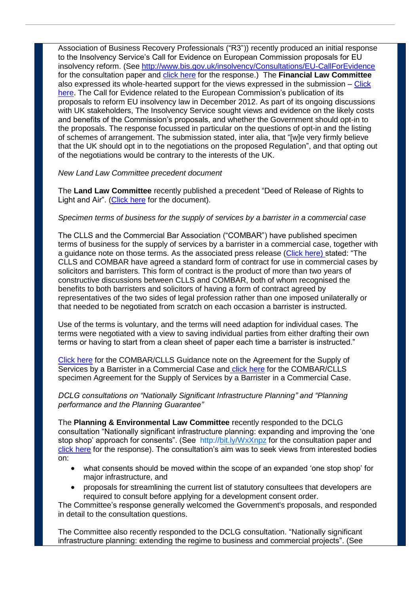Association of Business Recovery Professionals ("R3")) recently produced an initial response to the Insolvency Service's Call for Evidence on European Commission proposals for EU insolvency reform. (See<http://www.bis.gov.uk/insolvency/Consultations/EU-CallForEvidence> for the consultation paper and [click here](http://www.citysolicitors.org.uk/FileServer.aspx?oID=1351&lID=0) for the response.) The **Financial Law Committee** also expressed its whole-hearted support for the views expressed in the submission – [Click](http://www.citysolicitors.org.uk/FileServer.aspx?oID=1352&lID=0)  [here.](http://www.citysolicitors.org.uk/FileServer.aspx?oID=1352&lID=0) The Call for Evidence related to the European Commission's publication of its proposals to reform EU insolvency law in December 2012. As part of its ongoing discussions with UK stakeholders, The Insolvency Service sought views and evidence on the likely costs and benefits of the Commission's proposals, and whether the Government should opt-in to the proposals. The response focussed in particular on the questions of opt-in and the listing of schemes of arrangement. The submission stated, inter alia, that "[w]e very firmly believe that the UK should opt in to the negotiations on the proposed Regulation", and that opting out of the negotiations would be contrary to the interests of the UK.

# *New Land Law Committee precedent document*

The **Land Law Committee** recently published a precedent "Deed of Release of Rights to Light and Air". [\(Click here](http://www.citysolicitors.org.uk/Default.aspx?sID=923&lID=0) for the document).

# *Specimen terms of business for the supply of services by a barrister in a commercial case*

The CLLS and the Commercial Bar Association ("COMBAR") have published specimen terms of business for the supply of services by a barrister in a commercial case, together with a guidance note on those terms. As the associated press release [\(Click here\)](http://www.citysolicitors.org.uk/FileServer.aspx?oID=1329&lID=0) stated: "The CLLS and COMBAR have agreed a standard form of contract for use in commercial cases by solicitors and barristers. This form of contract is the product of more than two years of constructive discussions between CLLS and COMBAR, both of whom recognised the benefits to both barristers and solicitors of having a form of contract agreed by representatives of the two sides of legal profession rather than one imposed unilaterally or that needed to be negotiated from scratch on each occasion a barrister is instructed.

Use of the terms is voluntary, and the terms will need adaption for individual cases. The terms were negotiated with a view to saving individual parties from either drafting their own terms or having to start from a clean sheet of paper each time a barrister is instructed."

[Click here](http://www.citysolicitors.org.uk/FileServer.aspx?oID=1321&lID=0) for the COMBAR/CLLS Guidance note on the Agreement for the Supply of Services by a Barrister in a Commercial Case and [click here](http://www.citysolicitors.org.uk/FileServer.aspx?oID=1322&lID=0) for the COMBAR/CLLS specimen Agreement for the Supply of Services by a Barrister in a Commercial Case.

# *DCLG consultations on "Nationally Significant Infrastructure Planning" and "Planning performance and the Planning Guarantee"*

The **Planning & Environmental Law Committee** recently responded to the DCLG consultation "Nationally significant infrastructure planning: expanding and improving the 'one stop shop' approach for consents". (See <http://bit.ly/WxXnpz> for the consultation paper and [click here](http://www.citysolicitors.org.uk/FileServer.aspx?oID=1325&lID=0) for the response). The consultation's aim was to seek views from interested bodies on:

- what consents should be moved within the scope of an expanded 'one stop shop' for major infrastructure, and
- proposals for streamlining the current list of statutory consultees that developers are required to consult before applying for a development consent order.

The Committee's response generally welcomed the Government's proposals, and responded in detail to the consultation questions.

The Committee also recently responded to the DCLG consultation. "Nationally significant infrastructure planning: extending the regime to business and commercial projects". (See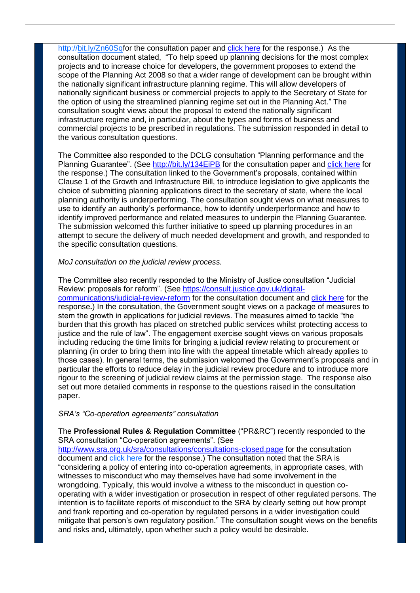[http://bit.ly/Zn60Sqf](http://bit.ly/Zn60Sq)or the consultation paper and [click here](http://www.citysolicitors.org.uk/FileServer.aspx?oID=1324&lID=0) for the response.) As the consultation document stated, "To help speed up planning decisions for the most complex projects and to increase choice for developers, the government proposes to extend the scope of the Planning Act 2008 so that a wider range of development can be brought within the nationally significant infrastructure planning regime. This will allow developers of nationally significant business or commercial projects to apply to the Secretary of State for the option of using the streamlined planning regime set out in the Planning Act." The consultation sought views about the proposal to extend the nationally significant infrastructure regime and, in particular, about the types and forms of business and commercial projects to be prescribed in regulations. The submission responded in detail to the various consultation questions.

The Committee also responded to the DCLG consultation "Planning performance and the Planning Guarantee". (See<http://bit.ly/134EiPB> for the consultation paper and [click here](http://www.citysolicitors.org.uk/FileServer.aspx?oID=1323&lID=0) for the response.) The consultation linked to the Government's proposals, contained within Clause 1 of the Growth and Infrastructure Bill, to introduce legislation to give applicants the choice of submitting planning applications direct to the secretary of state, where the local planning authority is underperforming. The consultation sought views on what measures to use to identify an authority's performance, how to identify underperformance and how to identify improved performance and related measures to underpin the Planning Guarantee. The submission welcomed this further initiative to speed up planning procedures in an attempt to secure the delivery of much needed development and growth, and responded to the specific consultation questions.

#### *MoJ consultation on the judicial review process.*

The Committee also recently responded to the Ministry of Justice consultation "Judicial Review: proposals for reform". (See [https://consult.justice.gov.uk/digital](https://consult.justice.gov.uk/digital-communications/judicial-review-reform)[communications/judicial-review-reform](https://consult.justice.gov.uk/digital-communications/judicial-review-reform) for the consultation document and [click here](http://www.citysolicitors.org.uk/FileServer.aspx?oID=1327&lID=0) for the response**.**) In the consultation, the Government sought views on a package of measures to stem the growth in applications for judicial reviews. The measures aimed to tackle "the burden that this growth has placed on stretched public services whilst protecting access to justice and the rule of law". The engagement exercise sought views on various proposals including reducing the time limits for bringing a judicial review relating to procurement or planning (in order to bring them into line with the appeal timetable which already applies to those cases). In general terms, the submission welcomed the Government's proposals and in particular the efforts to reduce delay in the judicial review procedure and to introduce more rigour to the screening of judicial review claims at the permission stage. The response also set out more detailed comments in response to the questions raised in the consultation paper.

## *SRA's "Co-operation agreements" consultation*

The **Professional Rules & Regulation Committee** ("PR&RC") recently responded to the SRA consultation "Co-operation agreements". (See

<http://www.sra.org.uk/sra/consultations/consultations-closed.page> for the consultation document and [click here](http://www.citysolicitors.org.uk/FileServer.aspx?oID=1326&lID=0) for the response.) The consultation noted that the SRA is "considering a policy of entering into co-operation agreements, in appropriate cases, with witnesses to misconduct who may themselves have had some involvement in the wrongdoing. Typically, this would involve a witness to the misconduct in question cooperating with a wider investigation or prosecution in respect of other regulated persons. The intention is to facilitate reports of misconduct to the SRA by clearly setting out how prompt and frank reporting and co-operation by regulated persons in a wider investigation could mitigate that person's own regulatory position." The consultation sought views on the benefits and risks and, ultimately, upon whether such a policy would be desirable.